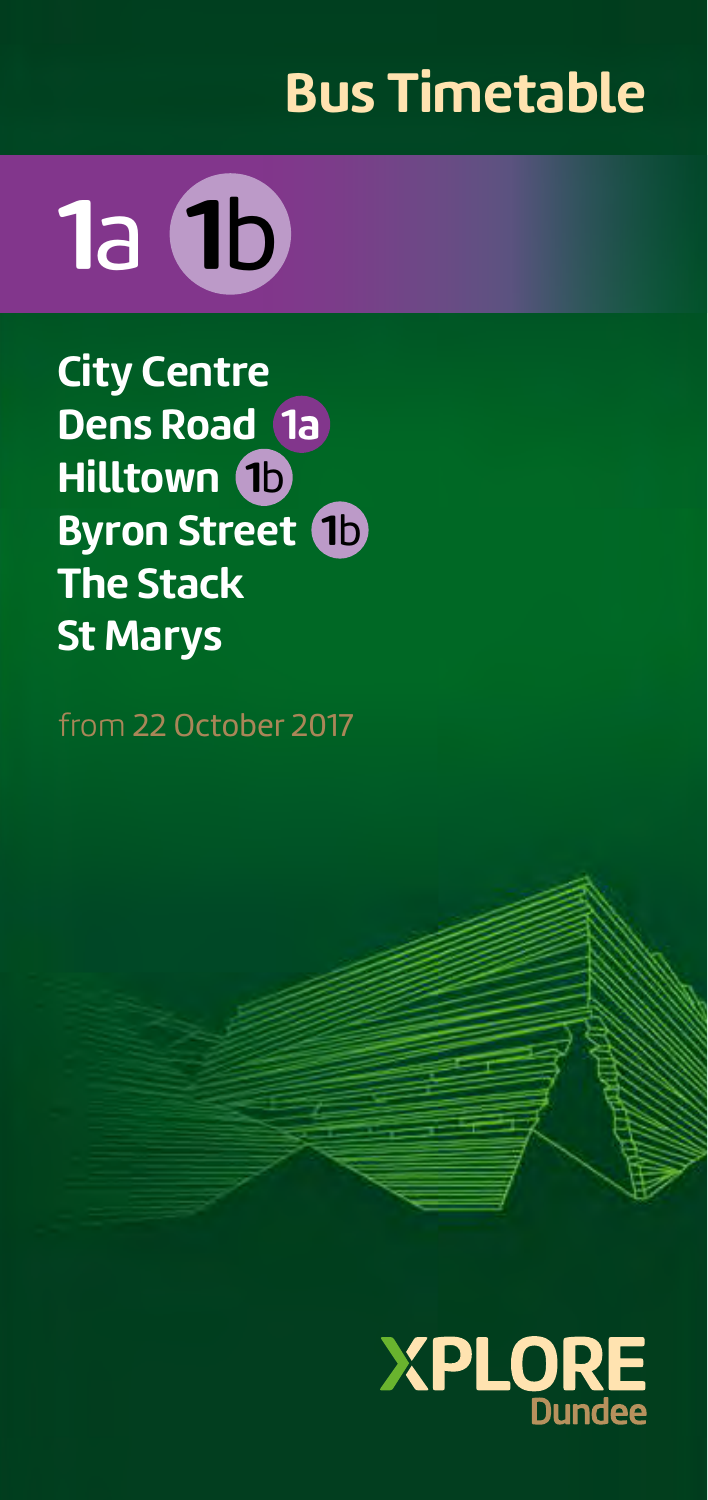# **Bus Timetable**



**City Centre Dens Road 1a Hilltown 1**b **Byron Street 1**b **The Stack St Marys**

from 22 October 2017

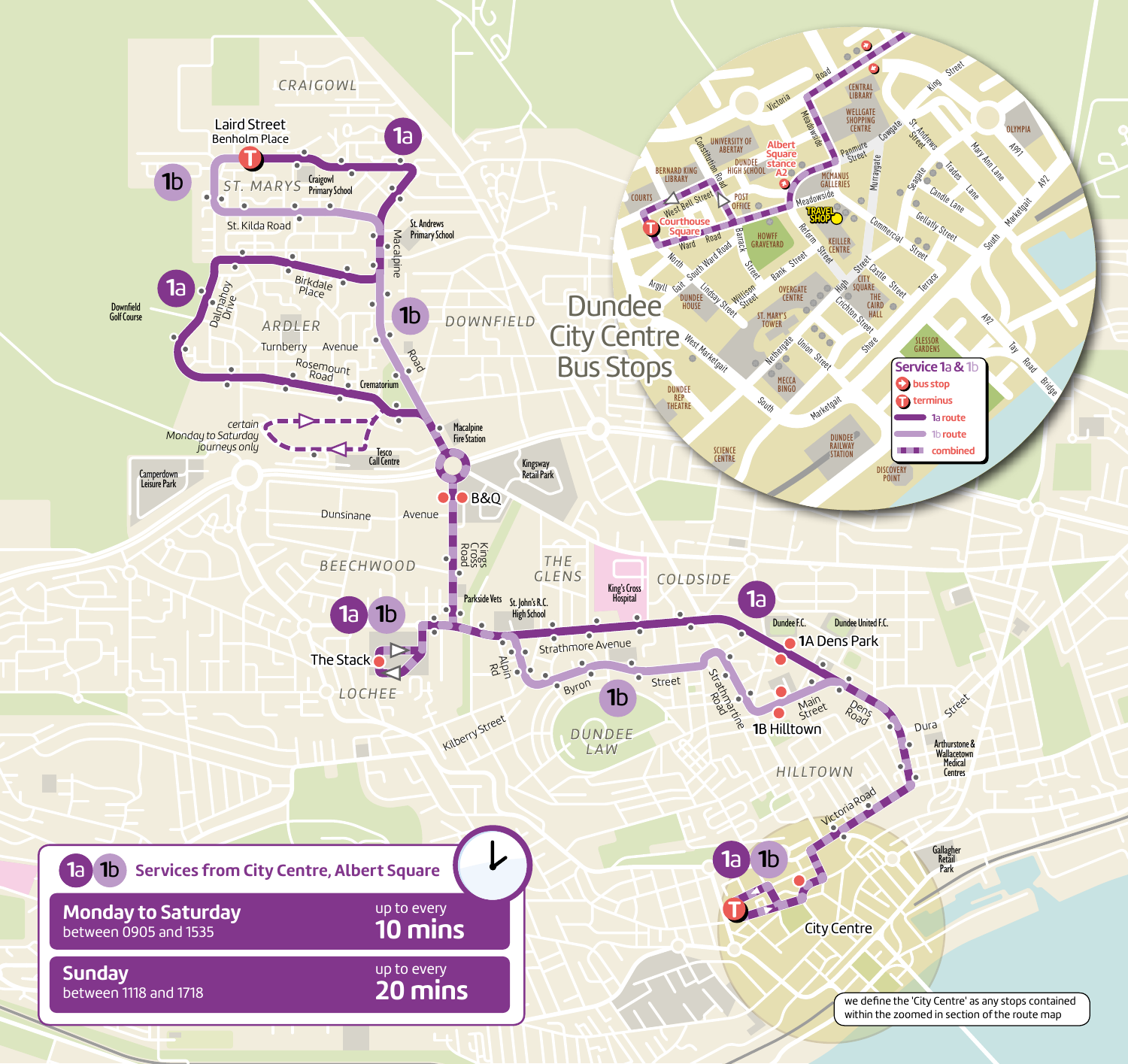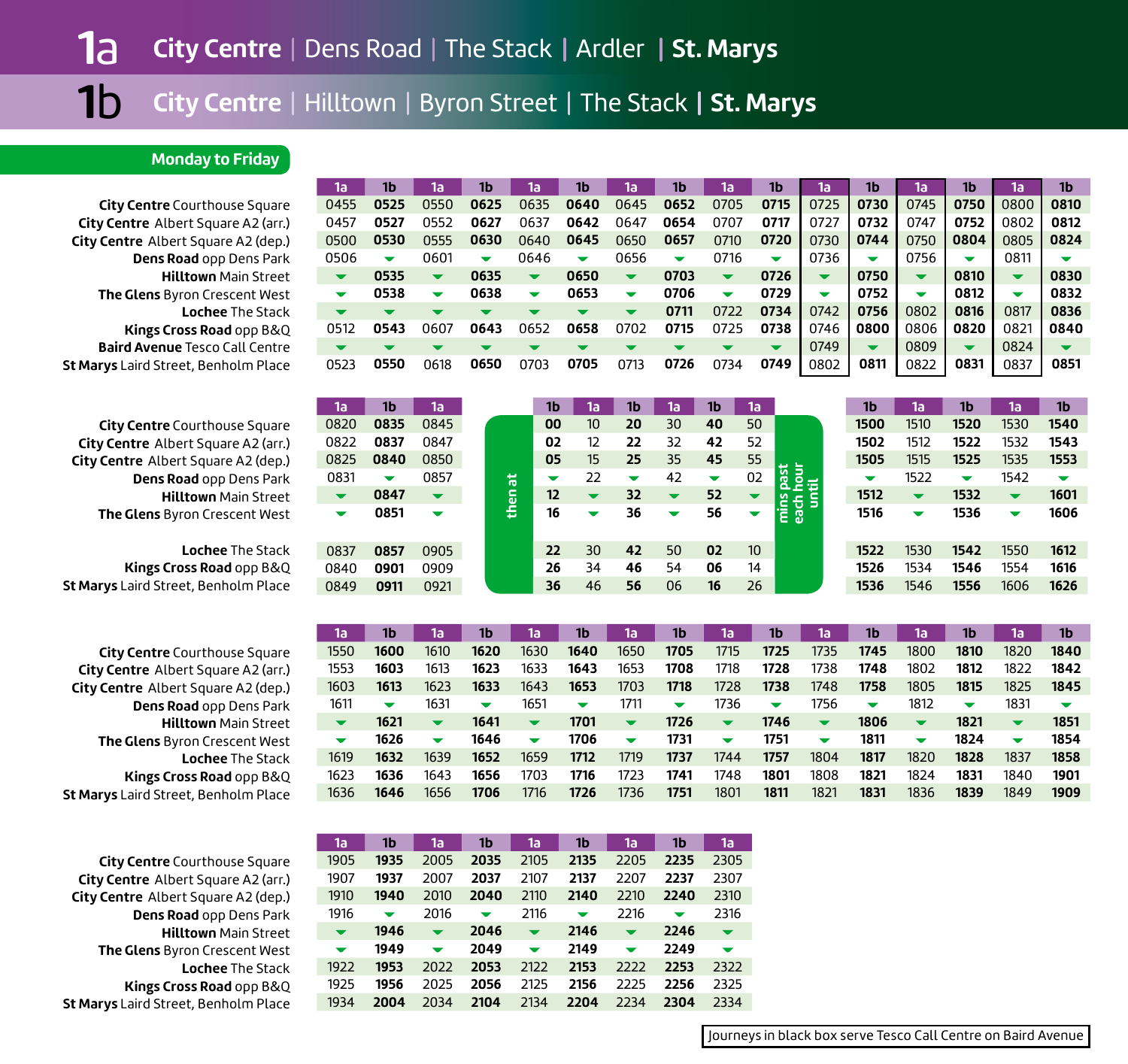#### **Monday to Friday**

**City Centre** Courthouse Square **City Centre** Albert Square A2 (arr.) **City Centre** Albert Square A2 (dep.) **Dens Road** opp Dens Park **Hilltown** Main Street **The Glens** Byron Crescent West **Lochee** The Stack**Kings Cross Road** opp B&Q **Baird Avenue** Tesco Call Centre **St Marys** Laird Street, Benholm Place

**City Centre** Courthouse Square **City Centre** Albert Square A2 (arr.) **City Centre** Albert Square A2 (dep.) **Dens Road** opp Dens Park **Hilltown** Main Street**The Glens** Byron Crescent West

**Lochee** The Stack**Kings Cross Road** opp B&Q **St Marys** Laird Street, Benholm Place

**City Centre** Courthouse Square **City Centre** Albert Square A2 (arr.) **City Centre** Albert Square A2 (dep.) **Dens Road** opp Dens Park **Hilltown** Main Street **The Glens** Byron Crescent West **Lochee** The Stack **Kings Cross Road** opp B&Q **St Marys** Laird Street, Benholm Place

**City Centre** Courthouse Square **City Centre** Albert Square A2 (arr.) **City Centre** Albert Square A2 (dep.) **Dens Road** opp Dens Park **Hilltown** Main Street **The Glens** Byron Crescent West **Lochee** The Stack **Kings Cross Road** opp B&Q **St Marys** Laird Street, Benholm Place

| 1a                       | 1b                       | 1a                       | 1b   | 1a                       | 1b                       | 1a                       | 1b                      | 1a                       | 1b                       | 1a                              | 1b                       | 1a                       | 1b                   | 1a                       | 1b                       |
|--------------------------|--------------------------|--------------------------|------|--------------------------|--------------------------|--------------------------|-------------------------|--------------------------|--------------------------|---------------------------------|--------------------------|--------------------------|----------------------|--------------------------|--------------------------|
| 0455                     | 0525                     | 0550                     | 0625 | 0635                     | 0640                     | 0645                     | 0652                    | 0705                     | 0715                     | 0725                            | 0730                     | 0745                     | 0750                 | 0800                     | 0810                     |
| 0457                     | 0527                     | 0552                     | 0627 | 0637                     | 0642                     | 0647                     | 0654                    | 0707                     | 0717                     | 0727                            | 0732                     | 0747                     | 0752                 | 0802                     | 0812                     |
| 0500                     | 0530                     | 0555                     | 0630 | 0640                     | 0645                     | 0650                     | 0657                    | 0710                     | 0720                     | 0730                            | 0744                     | 0750                     | 0804                 | 0805                     | 0824                     |
| 0506                     | $\overline{\phantom{a}}$ | 0601                     | ▼    | 0646                     | ▼                        | 0656                     | ▼                       | 0716                     | $\overline{\phantom{a}}$ | 0736                            | ▼                        | 0756                     | ▼                    | 0811                     |                          |
| $\overline{\phantom{a}}$ | 0535                     | $\overline{\phantom{a}}$ | 0635 | $\overline{\phantom{a}}$ | 0650                     | $\overline{\phantom{a}}$ | 0703                    | $\overline{\phantom{a}}$ | 0726                     | $\overline{\mathbf{v}}$         | 0750                     | $\overline{\phantom{a}}$ | 0810                 | $\overline{\phantom{a}}$ | 0830                     |
| ▼                        | 0538                     | $\overline{\phantom{a}}$ | 0638 | $\overline{\phantom{a}}$ | 0653                     | $\overline{\phantom{a}}$ | 0706                    | $\overline{\phantom{a}}$ | 0729                     | $\overline{\phantom{a}}$        | 0752                     | $\overline{\phantom{a}}$ | 0812                 | $\overline{\phantom{a}}$ | 0832                     |
| $\overline{\phantom{a}}$ | $\overline{\phantom{a}}$ | $\overline{\phantom{a}}$ |      | $\overline{\phantom{a}}$ | $\blacktriangledown$     | $\overline{\phantom{a}}$ | 0711                    | 0722                     | 0734                     | 0742                            | 0756                     | 0802                     | 0816                 | 0817                     | 0836                     |
| 0512                     | 0543                     | 0607                     | 0643 | 0652                     | 0658                     | 0702                     | 0715                    | 0725                     | 0738                     | 0746                            | 0800                     | 0806                     | 0820                 | 0821                     | 0840                     |
|                          |                          |                          |      | $\overline{\phantom{a}}$ |                          |                          |                         |                          | $\blacktriangledown$     | 0749                            | $\overline{\phantom{a}}$ | 0809                     | $\blacktriangledown$ | 0824                     |                          |
| 0523                     | 0550                     | 0618                     | 0650 | 0703                     | 0705                     | 0713                     | 0726                    | 0734                     | 0749                     | 0802                            | 0811                     | 0822                     | 0831                 | 0837                     | 0851                     |
|                          |                          |                          |      |                          |                          |                          |                         |                          |                          |                                 |                          |                          |                      |                          |                          |
|                          |                          |                          |      |                          |                          |                          |                         |                          |                          |                                 |                          |                          |                      |                          |                          |
|                          | 1 <sub>b</sub>           | 1a                       |      | 1b                       | 1a                       | 1b                       |                         | 1 <sub>b</sub>           | 1a                       |                                 | 1b                       | 1a                       | 1 <sub>b</sub>       |                          | 1 <sub>b</sub>           |
| 1a                       |                          | 0845                     |      | 00                       | 10 <sup>10</sup>         | 20                       | 1a<br>30                | 40                       | 50                       |                                 |                          |                          |                      | 1a                       |                          |
| 0820<br>0822             | 0835<br>0837             | 0847                     |      | 02                       | 12                       | 22                       | 32                      | 42                       | 52                       |                                 | 1500<br>1502             | 1510<br>1512             | 1520<br>1522         | 1530<br>1532             | 1540<br>1543             |
| 0825                     | 0840                     | 0850                     |      | 05                       | 15                       | 25                       | 35                      | 45                       | 55                       |                                 | 1505                     | 1515                     | 1525                 | 1535                     | 1553                     |
| 0831                     | $\overline{\phantom{a}}$ | 0857                     |      | $\overline{\phantom{a}}$ | 22                       | $\overline{\phantom{a}}$ | 42                      | $\overline{\phantom{a}}$ | 02                       |                                 | ▼                        | 1522                     | ▼                    | 1542                     | $\overline{\phantom{a}}$ |
| $\overline{\phantom{a}}$ | 0847                     | $\overline{\phantom{a}}$ |      | 耑<br>12                  | $\overline{\phantom{a}}$ | 32                       | $\overline{\mathbf{v}}$ | 52                       | $\overline{\phantom{a}}$ |                                 | 1512                     | $\overline{\phantom{a}}$ | 1532                 | $\overline{\phantom{a}}$ | 1601                     |
| $\overline{\phantom{a}}$ | 0851                     | ▼                        |      | then.<br>16              | ▼                        | 36                       | $\checkmark$            | 56                       | ▼                        |                                 | 1516                     | $\blacktriangledown$     | 1536                 | ▼                        | 1606                     |
|                          |                          |                          |      |                          |                          |                          |                         |                          |                          | mins past<br>each hour<br>until |                          |                          |                      |                          |                          |
|                          |                          |                          |      | 22                       | 30                       | 42                       | 50                      | 02                       | 10 <sup>10</sup>         |                                 | 1522                     | 1530                     | 1542                 | 1550                     | 1612                     |
| 0837<br>0840             | 0857<br>0901             | 0905<br>0909             |      | 26                       | 34                       | 46                       | 54                      | 06                       | 14                       |                                 | 1526                     | 1534                     | 1546                 | 1554                     | 1616                     |
| 0849                     | 0911                     | 0921                     |      | 36                       | 46                       | 56                       | 06                      | 16                       | 26                       |                                 | 1536                     | 1546                     | 1556                 | 1606                     | 1626                     |

**1a 1b 1a 1b 1a 1b 1a 1b 1a 1b 1a 1b 1a 1b 1a 1b** 1550 **1600** 1610 **1620** 1630 **1640** 1650 **1705** 1715 **1725** 1735 **1745** 1800 **1810** 1820 **1840** 1553 **1603** 1613 **1623** 1633 **1643** 1653 **1708** 1718 **1728** 1738 **1748** 1802 **1812** 1822 **1842** 1603 **1613** 1623 **1633** 1643 **1653** 1703 **1718** 1728 **1738** 1748 **1758** 1805 **1815** 1825 **1845** 16111  $\sim$  1631  $\sim$  1651  $\sim$  1711  $\sim$  1736  $6 \rightarrow 1756 \rightarrow 1812 \rightarrow 1831$  $\overline{\phantom{a}}$  $\overline{\phantom{a}}$ **1621 1641 1701 1726 1746 1806 1821 1851 1626**1824 **v** 1854  $\overline{\phantom{a}}$  **1646 1706 1731 1751 1811 1824**1619 **1757** 1804 **1817** 1820 **1828** 1837 **1858 1632** 1639 **1652** 1659 **1712** 1719 **1737** 17441623 **1636 1801** 1808 **1821** 1824 **1831** 1840 **1901** 1643 **1656** 1703 **1716** 1723 **1741** 17481636 **1909 1646** 1656 **1706** 1716 **1726** 1736 **1751** 1801 **1811** 1821 **1831** 1836 **1839** 1849

| 1a                       | 1b                       | 1a                       | 1b   | 1a                       | 1b   | 1a                       | 1b                       | 1a                       |
|--------------------------|--------------------------|--------------------------|------|--------------------------|------|--------------------------|--------------------------|--------------------------|
| 1905                     | 1935                     | 2005                     | 2035 | 2105                     | 2135 | 2205                     | 2235                     | 2305                     |
| 1907                     | 1937                     | 2007                     | 2037 | 2107                     | 2137 | 2207                     | 2237                     | 2307                     |
| 1910                     | 1940                     | 2010                     | 2040 | 2110                     | 2140 | 2210                     | 2240                     | 2310                     |
| 1916                     | $\overline{\phantom{a}}$ | 2016                     |      | 2116                     | ▼    | 2216                     | $\overline{\phantom{a}}$ | 2316                     |
| $\overline{\phantom{a}}$ | 1946                     | $\overline{\mathbf{v}}$  | 2046 | $\overline{\mathbf{v}}$  | 2146 | $\overline{\mathbf{v}}$  | 2246                     |                          |
| $\overline{\phantom{a}}$ | 1949                     | $\overline{\phantom{a}}$ | 2049 | $\overline{\phantom{a}}$ | 2149 | $\overline{\phantom{a}}$ | 2249                     | $\overline{\phantom{a}}$ |
| 1922                     | 1953                     | 2022                     | 2053 | 2122                     | 2153 | 2222                     | 2253                     | 2322                     |
| 1925                     | 1956                     | 2025                     | 2056 | 2125                     | 2156 | 2225                     | 2256                     | 2325                     |
| 1934                     | 2004                     | 2034                     | 2104 | 2134                     | 2204 | 2234                     | 2304                     | 2334                     |

Journeys in black box serve Tesco Call Centre on Baird Avenue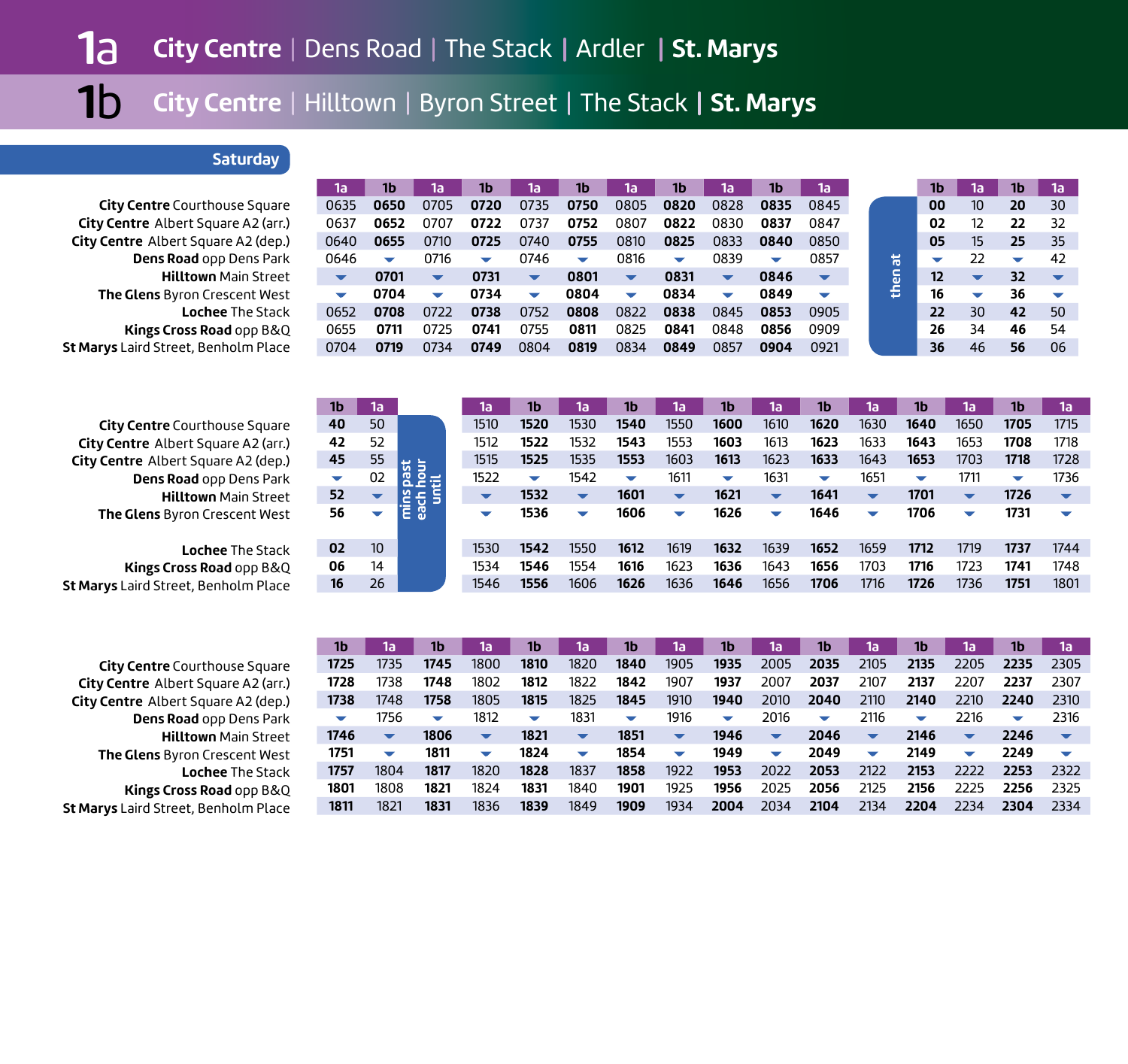## **Saturday**

**City Centre** Courthouse Square **City Centre** Albert Square A2 (arr.) **City Centre** Albert Square A2 (dep.) **Dens Road** opp Dens Park **Hilltown** Main Street **The Glens** Byron Crescent West **Lochee** The Stack **Kings Cross Road** opp B&Q **St Marys** Laird Street, Benholm Place

| ٦a                       | 1b                       | 1a                       | 1b                       | 1a                       | 1b                       | 15                       | 1b.                      | าล                       | 1Ь   | 1a                       |        | 1b | 1a | 1b | កោ |
|--------------------------|--------------------------|--------------------------|--------------------------|--------------------------|--------------------------|--------------------------|--------------------------|--------------------------|------|--------------------------|--------|----|----|----|----|
| 0635                     | 0650                     | 0705                     | 0720                     | 0735                     | 0750                     | 0805                     | 0820                     | 0828                     | 0835 | 0845                     |        | 00 | 10 | 20 | 30 |
| 0637                     | 0652                     | 0707                     | 0722                     | 0737                     | 0752                     | 0807                     | 0822                     | 0830                     | 0837 | 0847                     |        | 02 | 12 | 22 | 32 |
| 0640                     | 0655                     | 0710                     | 0725                     | 0740                     | 0755                     | 0810                     | 0825                     | 0833                     | 0840 | 0850                     |        | 05 | 15 | 25 | 35 |
| 0646                     | $\overline{\phantom{0}}$ | 0716                     | $\overline{\phantom{0}}$ | 0746                     | $\overline{\phantom{0}}$ | 0816                     | $\overline{\phantom{0}}$ | 0839                     | ▽    | 0857                     | 耑      | ▽  | 22 | ╾  | 42 |
| $\overline{\phantom{a}}$ | 0701                     | $\overline{\phantom{a}}$ | 0731                     | $\overline{\phantom{a}}$ | 0801                     | $\overline{\phantom{a}}$ | 0831                     | $\overline{\phantom{a}}$ | 0846 | $\overline{\phantom{a}}$ | c<br>ω | 12 | ▼  | 32 |    |
| ▼                        | 0704                     | $\overline{\phantom{0}}$ | 0734                     | $\overline{\phantom{a}}$ | 0804                     | $\overline{\phantom{a}}$ | 0834                     | $\overline{\phantom{a}}$ | 0849 | $\overline{\phantom{a}}$ | š      | 16 | ▼  | 36 |    |
| 0652                     | 0708                     | 0722                     | 0738                     | 0752                     | 0808                     | 0822                     | 0838                     | 0845                     | 0853 | 0905                     |        | 22 | 30 | 42 | 50 |
| 0655                     | 0711                     | 0725                     | 0741                     | 0755                     | 0811                     | 0825                     | 0841                     | 0848                     | 0856 | 0909                     |        | 26 | 34 | 46 | 54 |
| 0704                     | 0719                     | 0734                     | 0749                     | 0804                     | 0819                     | 0834                     | 0849                     | 0857                     | 0904 | 0921                     |        | 36 | 46 | 56 | 06 |

|                                            | 1b     | Tal                      |         | 1a                       | 1b                       | 1a'                      | 1b     | í1a                      | 1b                       | 1a                       | 1b                       | 1a                       | 1b                       | 1a l                     | 1b                       | 1a'                      |  |
|--------------------------------------------|--------|--------------------------|---------|--------------------------|--------------------------|--------------------------|--------|--------------------------|--------------------------|--------------------------|--------------------------|--------------------------|--------------------------|--------------------------|--------------------------|--------------------------|--|
| <b>City Centre</b> Courthouse Square       | 40     | 50                       |         | 1510                     | 1520                     | 1530                     | 1540   | 1550                     | 1600                     | 1610                     | 1620                     | 1630                     | 1640                     | 1650                     | 1705                     | 1715                     |  |
| <b>City Centre</b> Albert Square A2 (arr.) | 42     | 52                       |         | 1512                     | 1522                     | 1532                     | 1543   | 1553                     | 1603                     | 1613                     | 1623                     | 1633                     | 1643                     | 1653                     | 1708                     | 1718                     |  |
| <b>City Centre</b> Albert Square A2 (dep.) | 45     | 55                       | ස 늘     | 1515                     | 1525                     | 1535                     | 1553   | 1603                     | 1613                     | 1623                     | 1633                     | 1643                     | 1653                     | 1703                     | 1718                     | 1728                     |  |
| Dens Road opp Dens Park                    | $\sim$ | 02                       | 운품<br>ó | 1522                     | $\overline{\phantom{a}}$ | 1542                     | $\sim$ | 1611                     | $\overline{\phantom{a}}$ | 1631                     | $\overline{\phantom{a}}$ | 1651                     | $\overline{\phantom{a}}$ | 1711                     | $\overline{\phantom{a}}$ | 1736                     |  |
| <b>Hilltown</b> Main Street                | 52     | $\overline{\phantom{a}}$ | Ĕ,      | $\overline{\phantom{a}}$ | 1532                     | $\overline{\phantom{a}}$ | 1601   | $\overline{\phantom{a}}$ | 1621                     | $\overline{\phantom{a}}$ | 1641                     | $\overline{\phantom{a}}$ | 1701                     | $\overline{\phantom{a}}$ | 1726                     | $\overline{\phantom{a}}$ |  |
| <b>The Glens</b> Byron Crescent West       | 56     | $\overline{\phantom{a}}$ | Ē       | $\overline{\phantom{a}}$ | 1536                     | ÷                        | 1606   | $\overline{\phantom{a}}$ | 1626                     | $\overline{\phantom{a}}$ | 1646                     | $\overline{\phantom{a}}$ | 1706                     | $\overline{\phantom{a}}$ | 1731                     |                          |  |
|                                            |        |                          |         |                          |                          |                          |        |                          |                          |                          |                          |                          |                          |                          |                          |                          |  |
| <b>Lochee</b> The Stack                    | 02     | 10                       |         | 1530                     | 1542                     | 1550                     | 1612   | 1619                     | 1632                     | 1639                     | 1652                     | 1659                     | 1712                     | 1719                     | 1737                     | 1744                     |  |
| <b>Kings Cross Road opp B&amp;Q</b>        | 06     | 14                       |         | 1534                     | 1546                     | 1554                     | 1616   | 1623                     | 1636                     | 1643                     | 1656                     | 1703                     | 1716                     | 1723                     | 1741                     | 1748                     |  |
| it Marys Laird Street, Benholm Place       | 16     | 26                       |         | 1546                     | 1556                     | 1606                     | 1626   | 1636                     | 1646                     | 1656                     | 1706                     | 1716                     | 1726                     | 1736                     | 1751                     | 1801                     |  |
|                                            |        |                          |         |                          |                          |                          |        |                          |                          |                          |                          |                          |                          |                          |                          |                          |  |

**City Centre** Courthouse Square **City Centre** Albert Square A2 (arr.) **City Centre** Albert Square A2 (dep.) **Dens Road** opp Dens Park **Hilltown** Main Street **The Glens** Byron Crescent West **Lochee** The Stack **Kings Cross Road** opp B&Q **St Marys** Laird Street, Benholm Place

| 1b                       | 1a'                      | 1b                       | 1a                       | 1b   | 1a'                      | 1b   | 1al                      | 1b                       | 1a'                      | 1b                       | 1a'                  | 1b                   | 1a                       | 1b           | 1a'                      |
|--------------------------|--------------------------|--------------------------|--------------------------|------|--------------------------|------|--------------------------|--------------------------|--------------------------|--------------------------|----------------------|----------------------|--------------------------|--------------|--------------------------|
| 1725                     | 1735                     | 1745                     | 1800                     | 1810 | 1820                     | 1840 | 1905                     | 1935                     | 2005                     | 2035                     | 2105                 | 2135                 | 2205                     | 2235         | 2305                     |
| 1728                     | 1738                     | 1748                     | 1802                     | 1812 | 1822                     | 1842 | 1907                     | 1937                     | 2007                     | 2037                     | 2107                 | 2137                 | 2207                     | 2237         | 2307                     |
| 1738                     | 1748                     | 1758                     | 1805                     | 1815 | 1825                     | 1845 | 1910                     | 1940                     | 2010                     | 2040                     | 2110                 | 2140                 | 2210                     | 2240         | 2310                     |
| $\overline{\phantom{a}}$ | 1756                     | $\overline{\phantom{a}}$ | 1812                     | ▽    | 1831                     | ▽    | 1916                     | $\overline{\phantom{0}}$ | 2016                     | $\overline{\phantom{a}}$ | 2116                 | $\blacktriangledown$ | 2216                     | $\checkmark$ | 2316                     |
|                          |                          |                          |                          |      |                          |      |                          |                          |                          |                          |                      |                      |                          |              |                          |
| 1746                     | $\overline{\phantom{a}}$ | 1806                     | $\overline{\phantom{a}}$ | 1821 | $\blacktriangledown$     | 1851 | $\blacktriangledown$     | 1946                     | $\blacktriangledown$     | 2046                     | $\blacktriangledown$ | 2146                 | $\blacktriangledown$     | 2246         | $\overline{\phantom{a}}$ |
| 1751                     | $\overline{\phantom{a}}$ | 1811                     | ▽                        | 1824 | $\overline{\phantom{0}}$ | 1854 | $\overline{\phantom{0}}$ | 1949                     | $\overline{\phantom{0}}$ | 2049                     | $\blacktriangledown$ | 2149                 | $\overline{\phantom{a}}$ | 2249         | $\overline{\phantom{a}}$ |
| 1757                     | 1804                     | 1817                     | 1820                     | 1828 | 1837                     | 1858 | 1922                     | 1953                     | 2022                     | 2053                     | 2122                 | 2153                 | 2222                     | 2253         | 2322                     |
| 1801                     | 1808                     | 1821                     | 1824                     | 1831 | 1840                     | 1901 | 1925                     | 1956                     | 2025                     | 2056                     | 2125                 | 2156                 | 2225                     | 2256         | 2325                     |
| 1811                     | 1821                     | 1831                     | 1836                     | 1839 | 1849                     | 1909 | 1934                     | 2004                     | 2034                     | 2104                     | 2134                 | 2204                 | 2234                     | 2304         | 2334                     |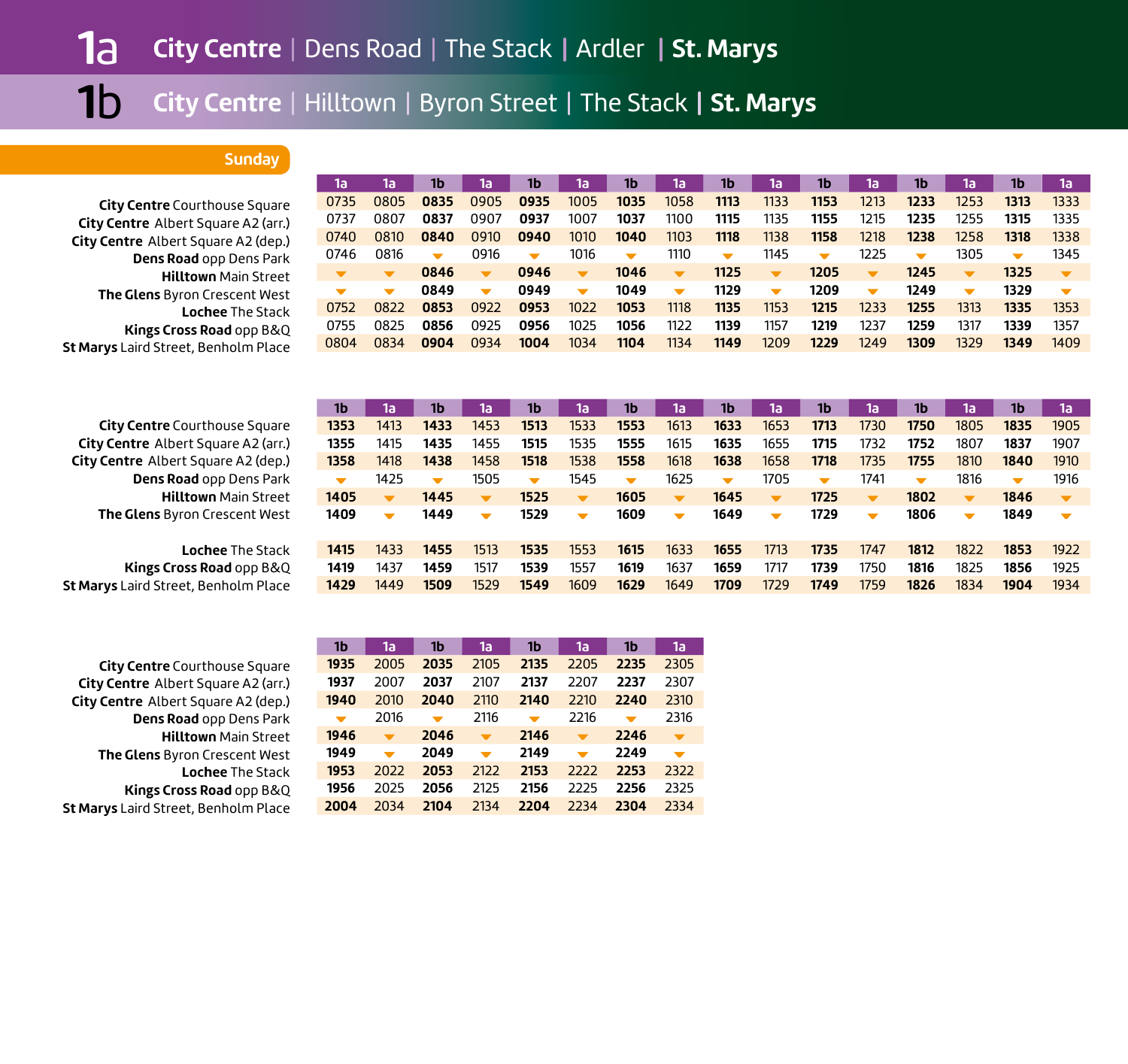#### **Sunday**

**City Centre** Courthouse Square **City Centre** Albert Square A2 (arr.) **City Centre** Albert Square A2 (dep.) **Dens Road** opp Dens Park **Hilltown** Main Street **The Glens** Byron Crescent West **Lochee** The Stack **Kings Cross Road** opp B&Q **St Marys** Laird Street, Benholm Place

| 1a'                      | 1a'  | 1b                       | 1a'                      | 1b                   | 1a                       | 1b                       | 1a'                      | 1b                   | 1a'                      | 1b                   | 1а                       | 1b                       | 1a'  | 1b                   | 1a                       |
|--------------------------|------|--------------------------|--------------------------|----------------------|--------------------------|--------------------------|--------------------------|----------------------|--------------------------|----------------------|--------------------------|--------------------------|------|----------------------|--------------------------|
| 0735                     | 0805 | 0835                     | 0905                     | 0935                 | 1005                     | 1035                     | 1058                     | 1113                 | 1133                     | 1153                 | 1213                     | 1233                     | 1253 | 1313                 | 1333                     |
| 0737                     | 0807 | 0837                     | 0907                     | 0937                 | 1007                     | 1037                     | 1100                     | 1115                 | 1135                     | 1155                 | 1215                     | 1235                     | 1255 | 1315                 | 1335                     |
| 0740                     | 0810 | 0840                     | 0910                     | 0940                 | 1010                     | 1040                     | 1103                     | 1118                 | 1138                     | 1158                 | 1218                     | 1238                     | 1258 | 1318                 | 1338                     |
| 0746                     | 0816 | $\overline{\phantom{a}}$ | 0916                     | $\blacktriangledown$ | 1016                     | $\overline{\phantom{a}}$ | 1110                     | $\blacktriangledown$ | 1145                     | $\blacktriangledown$ | 1225                     | $\overline{\phantom{a}}$ | 1305 | $\blacktriangledown$ | 1345                     |
|                          |      |                          |                          |                      |                          |                          |                          |                      |                          |                      |                          |                          |      |                      |                          |
| $\overline{\phantom{a}}$ |      | 0846                     | $\overline{\phantom{a}}$ | 0946                 | $\overline{\phantom{a}}$ | 1046                     | $\blacktriangledown$     | 1125                 | $\overline{\phantom{a}}$ | 1205                 | $\overline{\mathbf{v}}$  | 1245                     |      | 1325                 | $\overline{\phantom{a}}$ |
| $\blacksquare$           | ▼    | 0849                     | $\overline{\phantom{0}}$ | 0949                 | $\overline{\phantom{a}}$ | 1049                     | $\overline{\phantom{0}}$ | 1129                 | $\overline{\phantom{a}}$ | 1209                 | $\overline{\phantom{a}}$ | 1249                     |      | 1329                 | $\overline{\phantom{a}}$ |
| 0752                     | 0822 | 0853                     | 0922                     | 0953                 | 1022                     | 1053                     | 1118                     | 1135                 | 1153                     | 1215                 | 1233                     | 1255                     | 1313 | 1335                 | 1353                     |
| 0755                     | 0825 | 0856                     | 0925                     | 0956                 | 1025                     | 1056                     | 1122                     | 1139                 | 1157                     | 1219                 | 1237                     | 1259                     | 1317 | 1339                 | 1357                     |

| <b>City Centre</b> Courthouse Square |
|--------------------------------------|
| City Centre Albert Square A2 (arr.)  |
| City Centre Albert Square A2 (dep.)  |
| Dens Road opp Dens Park              |
| <b>Hilltown Main Street</b>          |
| The Glens Byron Crescent West        |

**Lochee** The Stack**Kings Cross Road** opp B&Q **St Marys** Laird Street, Benholm Place

**City Centre** Courthouse Square **City Centre** Albert Square A2 (arr.) **City Centre** Albert Square A2 (dep.) **Dens Road** opp Dens Park **Hilltown** Main Street **The Glens** Byron Crescent West **Lochee** The Stack **Kings Cross Road** opp B&Q **St Marys** Laird Street, Benholm Place

| 1b                   | 1a                       | 1b                       | 1a                       | 1b                   | 1a'                      | 1b                       | 1a                       | 1b                   | 1a'                      | 1b                       | 15                       | 1b                       | 1a'                      | 1b                   | 1a                       |
|----------------------|--------------------------|--------------------------|--------------------------|----------------------|--------------------------|--------------------------|--------------------------|----------------------|--------------------------|--------------------------|--------------------------|--------------------------|--------------------------|----------------------|--------------------------|
| 1353                 | 1413                     | 1433                     | 1453                     | 1513                 | 1533                     | 1553                     | 1613                     | 1633                 | 1653                     | 1713                     | 1730                     | 1750                     | 1805                     | 1835                 | 1905                     |
| 1355                 | 1415                     | 1435                     | 1455                     | 1515                 | 1535                     | 1555                     | 1615                     | 1635                 | 1655                     | 1715                     | 1732                     | 1752                     | 1807                     | 1837                 | 1907                     |
| 1358                 | 1418                     | 1438                     | 1458                     | 1518                 | 1538                     | 1558                     | 1618                     | 1638                 | 1658                     | 1718                     | 1735                     | 1755                     | 1810                     | 1840                 | 1910                     |
| $\blacktriangledown$ | 1425                     | $\overline{\phantom{a}}$ | 1505                     | $\blacktriangledown$ | 1545                     | $\overline{\phantom{0}}$ | 1625                     | $\blacktriangledown$ | 1705                     | $\overline{\phantom{a}}$ | 1741                     | $\overline{\phantom{a}}$ | 1816                     | $\blacktriangledown$ | 1916                     |
| 1405                 | $\blacktriangledown$     | 1445                     | $\overline{\phantom{a}}$ | 1525                 | $\blacktriangledown$     | 1605                     | $\overline{\phantom{a}}$ | 1645                 | $\overline{\mathbf{v}}$  | 1725                     | $\overline{\phantom{a}}$ | 1802                     | $\overline{\phantom{a}}$ | 1846                 | $\overline{\phantom{a}}$ |
|                      |                          |                          |                          |                      |                          |                          |                          |                      |                          |                          |                          |                          |                          |                      |                          |
| 1409                 | $\overline{\phantom{a}}$ | 1449                     | $\overline{\phantom{a}}$ | 1529                 | $\overline{\phantom{0}}$ | 1609                     | $\overline{\phantom{0}}$ | 1649                 | $\overline{\phantom{a}}$ | 1729                     | $\overline{\phantom{a}}$ | 1806                     | $\overline{\phantom{0}}$ | 1849                 | $\overline{\phantom{a}}$ |
|                      |                          |                          |                          |                      |                          |                          |                          |                      |                          |                          |                          |                          |                          |                      |                          |
| 1415                 | 1433                     | 1455                     | 1513                     | 1535                 | 1553                     | 1615                     | 1633                     | 1655                 | 1713                     | 1735                     | 1747                     | 1812                     | 1822                     | 1853                 | 1922                     |
| 1419                 | 1437                     | 1459                     | 1517                     | 1539                 | 1557                     | 1619                     | 1637                     | 1659                 | 1717                     | 1739                     | 1750                     | 1816                     | 1825                     | 1856                 | 1925                     |
| 1429                 | 1449                     | 1509                     | 1529                     | 1549                 | 1609                     | 1629                     | 1649                     | 1709                 | 1729                     | 1749                     | 1759                     | 1826                     | 1834                     | 1904                 | 1934                     |

| 1b   | 1a                       | 1b                       | 1a                       | 1b                       | 1a                       | 1b                       | 1a                       |
|------|--------------------------|--------------------------|--------------------------|--------------------------|--------------------------|--------------------------|--------------------------|
| 1935 | 2005                     | 2035                     | 2105                     | 2135                     | 2205                     | 2235                     | 2305                     |
| 1937 | 2007                     | 2037                     | 2107                     | 2137                     | 2207                     | 2237                     | 2307                     |
| 1940 | 2010                     | 2040                     | 2110                     | 2140                     | 2210                     | 2240                     | 2310                     |
| ▼    | 2016                     | $\overline{\phantom{a}}$ | 2116                     | $\overline{\phantom{a}}$ | 2216                     | $\overline{\phantom{a}}$ | 2316                     |
| 1946 | $\overline{\phantom{a}}$ | 2046                     | $\overline{\phantom{a}}$ | 2146                     | $\overline{\phantom{a}}$ | 2246                     | $\overline{\phantom{a}}$ |
| 1949 |                          | 2049                     | ╺                        | 2149                     |                          | 2249                     | $\overline{\phantom{a}}$ |
| 1953 | 2022                     | 2053                     | 2122                     | 2153                     | 2222                     | 2253                     | 2322                     |
| 1956 | 2025                     | 2056                     | 2125                     | 2156                     | 2225                     | 2256                     | 2325                     |
| 2004 | 2034                     | 2104                     | 2134                     | 2204                     | 2234                     | 2304                     | 2334                     |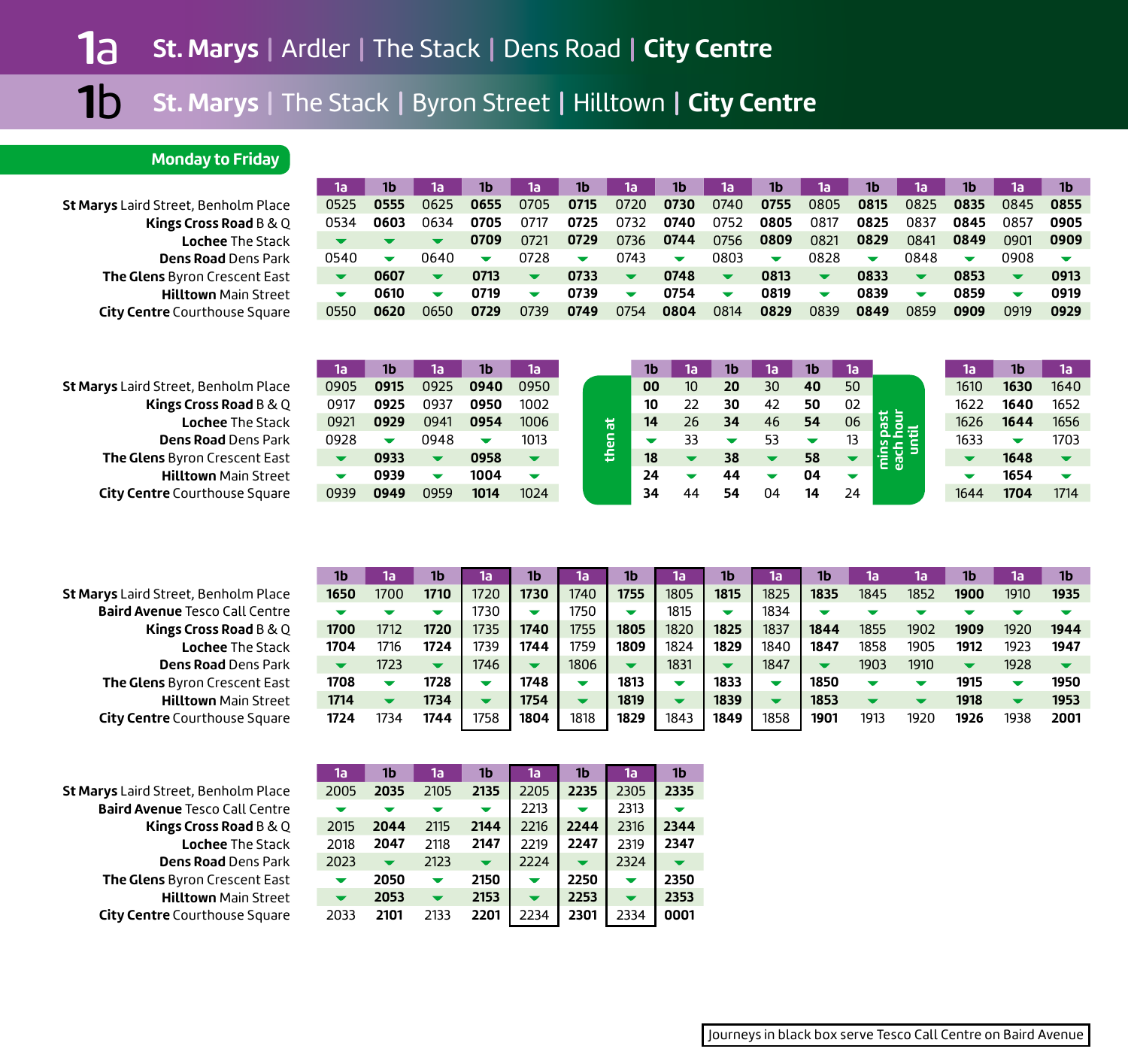## **Monday to Friday**

**St Marys** Laird Street, Benholm Place **Kings Cross Road** B & Q **Lochee** The Stack **Dens Road** Dens Park**The Glens** Byron Crescent East **Hilltown** Main Street **City Centre** Courthouse Square

| 1a                       | 1b                       | 1a                   | 1b   | 1а                      | 1b                   | 1a'                      | 1b                       | la           | 1b                       | 1a                       | 1b                       | 1a                       | 1b   | 1a          | 1b                       |
|--------------------------|--------------------------|----------------------|------|-------------------------|----------------------|--------------------------|--------------------------|--------------|--------------------------|--------------------------|--------------------------|--------------------------|------|-------------|--------------------------|
| 0525                     | 0555                     | 0625                 | 0655 | 0705                    | 0715                 | 0720                     | 0730                     | 0740         | 0755                     | 0805                     | 0815                     | 0825                     | 0835 | 0845        | 0855                     |
| 0534                     | 0603                     | 0634                 | 0705 | 0717                    | 0725                 | 0732                     | 0740                     | 0752         | 0805                     | 0817                     | 0825                     | 0837                     | 0845 | 0857        | 0905                     |
| $\overline{\phantom{a}}$ | $\overline{\phantom{a}}$ | $\blacktriangledown$ | 0709 | 0721                    | 0729                 | 0736                     | 0744                     | 0756         | 0809                     | 0821                     | 0829                     | 0841                     | 0849 | 0901        | 0909                     |
| 0540                     | $\overline{\phantom{a}}$ | በ64በ                 | ▼    | 0728                    | $\blacktriangledown$ | 0743                     | $\overline{\phantom{a}}$ | 0803         | $\overline{\phantom{a}}$ | 0828                     | $\overline{\phantom{a}}$ | 0848                     | ▼    | <b>0908</b> | $\overline{\phantom{a}}$ |
|                          | 0607                     | $\blacktriangledown$ | 0713 | $\overline{\mathbf{v}}$ | 0733                 | $\overline{\phantom{a}}$ | 0748                     | $\mathbf{v}$ | 0813                     | $\overline{\phantom{a}}$ | 0833                     | $\overline{\phantom{a}}$ | 0853 |             | 0913                     |
| $\overline{\phantom{a}}$ | 0610                     | ▼                    | 0719 | ▼                       | 0739                 | $\overline{\phantom{a}}$ | 0754                     | ▼            | 0819                     | $\overline{\phantom{a}}$ | 0839                     | $\overline{\phantom{a}}$ | 0859 |             | 0919                     |
| 0550                     | 0620                     | 0650                 | 0729 | 0739                    | 0749                 | 0754                     | 0804                     | 0814         | 0829                     | 0839                     | 0849                     | 0859                     | 0909 | 0919        | 0929                     |

| St Marys Laird Street, Benholm Place |
|--------------------------------------|
| Kings Cross Road B & Q               |
| <b>Lochee The Stack</b>              |
| <b>Dens Road Dens Park</b>           |
| <b>The Glens</b> Byron Crescent East |
| <b>Hilltown</b> Main Street          |
| <b>City Centre Courthouse Square</b> |

| 1a                       | 1b   | 1a                       | 1 <sub>b</sub> | 1a   |
|--------------------------|------|--------------------------|----------------|------|
| 0905                     | 0915 | 0925                     | 0940           | 0950 |
| 0917                     | 0925 | 0937                     | 0950           | 1002 |
| 0921                     | 0929 | 0941                     | 0954           | 1006 |
| 0928                     |      | 0948                     |                | 1013 |
|                          | 0933 |                          | 0958           |      |
| $\overline{\phantom{a}}$ | 0939 | $\overline{\phantom{a}}$ | 1004           |      |
| 0939                     | 0949 | 0959                     | 1014           | 1024 |

|        | 1b | 1al             | 1b. | 1al | 1b | 15. |                     | ោ    | 1b   | 1al  |
|--------|----|-----------------|-----|-----|----|-----|---------------------|------|------|------|
|        | 00 | 10 <sup>°</sup> | 20  | 30  | 40 | 50  |                     | 1610 | 1630 | 1640 |
|        | 10 | 22              | 30  | 42  | 50 | 02  |                     | 1622 | 1640 | 1652 |
|        | 14 | 26              | 34  | 46  | 54 | 06  | past                | 1626 | 1644 | 1656 |
| thenat |    | 33              |     | 53  |    | 13  |                     | 1633 |      | 1703 |
|        | 18 |                 | 38  |     | 58 |     | e<br>Tei<br>Б<br>සි |      | 1648 |      |
|        | 24 |                 | 44  |     | 04 |     |                     |      | 1654 |      |
|        | 34 | ΔΔ              | 54  | 04  | 14 | 24  |                     | 1644 | 1704 | 1714 |
|        |    |                 |     |     |    |     |                     |      |      |      |

| <b>St Marys</b> Laird Street, Benholm Place |
|---------------------------------------------|
| <b>Baird Avenue Tesco Call Centre</b>       |
| Kings Cross Road B & Q                      |
| <b>Lochee The Stack</b>                     |
| <b>Dens Road Dens Park</b>                  |
| The Glens Byron Crescent East               |
| <b>Hilltown Main Street</b>                 |
| <b>City Centre</b> Courthouse Square        |

**St Marys** Laird Street, Benholm Place **Baird Avenue** Tesco Call Centre **Kings Cross Road** B & Q **Lochee** The Stack**Dens Road** Dens Park **The Glens** Byron Crescent East **Hilltown** Main Street **City Centre** Courthouse Square

| 1b                      | 1a                       | 1b                       | 1a   | 1b.  | 1a'  | 1b                       | Ta   | 1b                       | 1a   | 1b   | 1a'  | 1a'  |      | 1a   | 1b                       |
|-------------------------|--------------------------|--------------------------|------|------|------|--------------------------|------|--------------------------|------|------|------|------|------|------|--------------------------|
| 1650                    | 1700                     | 1710                     | 1720 | 1730 | 1740 | 1755                     | 1805 | 1815                     | 1825 | 1835 | 1845 | 1852 | 1900 | 1910 | 1935                     |
| ▼                       |                          |                          | 1730 | ▼    | 1750 | ╺                        | 1815 | ▼                        | 1834 |      |      |      |      |      |                          |
| 1700                    | 1712                     | 1720                     | 1735 | 1740 | 1755 | 1805                     | 1820 | 1825                     | 1837 | 1844 | 1855 | 1902 | 1909 | 1920 | 1944                     |
| 1704                    | 1716                     | 1724                     | 1739 | 1744 | 1759 | 1809                     | 1824 | 1829                     | 1840 | 1847 | 1858 | 1905 | 1912 | 1923 | 1947                     |
| $\overline{\mathbf{v}}$ | 1723                     | $\overline{\phantom{a}}$ | 1746 | ▼    | 1806 | $\overline{\phantom{a}}$ | 1831 | $\overline{\phantom{a}}$ | 1847 |      | 1903 | 1910 |      | 1928 | $\overline{\phantom{a}}$ |
| 1708                    | $\overline{\phantom{a}}$ | 1728                     |      | 1748 | ╾    | 1813                     |      | 1833                     | ▼    | 1850 |      |      | 1915 |      | 1950                     |
| 1714                    |                          | 1734                     |      | 1754 | ┳    | 1819                     |      | 1839                     | ▼    | 1853 |      |      | 1918 |      | 1953                     |
| 1724                    | 1734                     | 1744                     | 1758 | 1804 | 1818 | 1829                     | 1843 | 1849                     | 1858 | 1901 | 1913 | 1920 | 1926 | 1938 | 2001                     |
|                         |                          |                          |      |      |      |                          |      |                          |      |      |      |      |      |      |                          |

| 1a   | 1b   | 1a   | 1 <sub>b</sub> | 1a   | 1b   | 1a   | 1 <sub>b</sub> |
|------|------|------|----------------|------|------|------|----------------|
| 2005 | 2035 | 2105 | 2135           | 2205 | 2235 | 2305 | 2335           |
|      |      |      |                | 2213 |      | 2313 |                |
| 2015 | 2044 | 2115 | 2144           | 2216 | 2244 | 2316 | 2344           |
| 2018 | 2047 | 2118 | 2147           | 2219 | 2247 | 2319 | 2347           |
| 2023 |      | 2123 |                | 2224 |      | 2324 |                |
|      | 2050 |      | 2150           |      | 2250 |      | 2350           |
|      | 2053 |      | 2153           |      | 2253 |      | 2353           |
| 2033 | 2101 | 2133 | 2201           | 2234 | 2301 | 2334 | 0001           |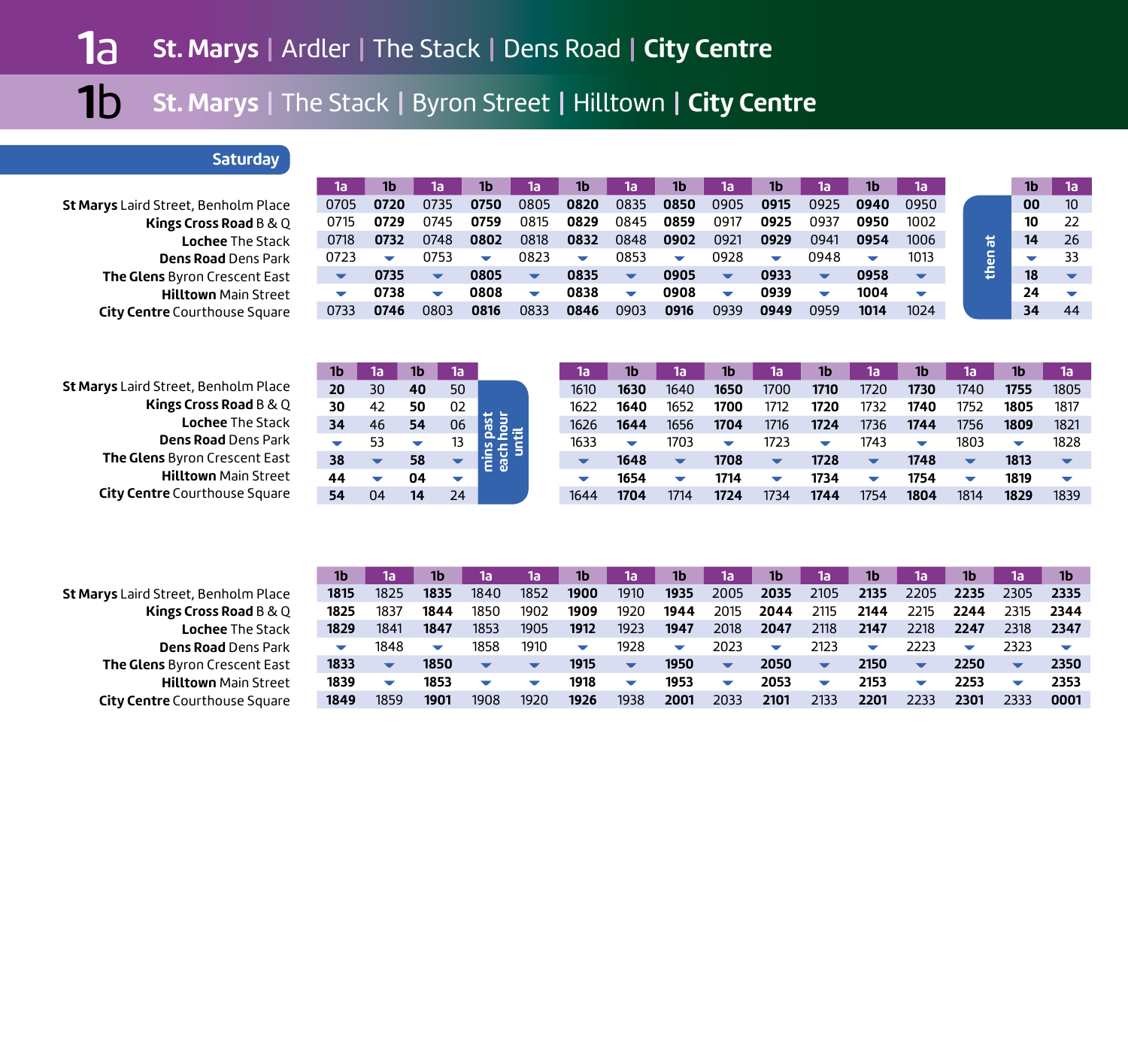# **Saturday**

|                                             | la   |      | 1a                       | 1b                       | 1a                       | 1b                       | 1a                       | 1b                       | 1a                       | 1b                       | 1a                       | 1b                       | 1a                       |   | 1b |                 |
|---------------------------------------------|------|------|--------------------------|--------------------------|--------------------------|--------------------------|--------------------------|--------------------------|--------------------------|--------------------------|--------------------------|--------------------------|--------------------------|---|----|-----------------|
| <b>St Marys</b> Laird Street, Benholm Place | 0705 | 0720 | 0735                     | 0750                     | 0805                     | 0820                     | 0835                     | 0850                     | 0905                     | 0915                     | 0925                     | 0940                     | 0950                     |   | 00 | 10 <sup>°</sup> |
| Kings Cross Road B & Q                      | 0715 | 0729 | 0745                     | 0759                     | 0815                     | 0829                     | 0845                     | 0859                     | 0917                     | 0925                     | 0937                     | 0950                     | 1002                     |   | 10 |                 |
| <b>Lochee The Stack</b>                     | 0718 | 0732 | 0748                     | 0802                     | 0818                     | 0832                     | 0848                     | 0902                     | 0921                     | 0929                     | 0941                     | 0954                     | 1006                     |   | 14 | 26              |
| <b>Dens Road Dens Park</b>                  | 0723 |      | 0753                     | $\overline{\phantom{a}}$ | 0823                     | $\overline{\phantom{a}}$ | 0853                     | $\overline{\phantom{a}}$ | 0928                     | $\overline{\phantom{a}}$ | 0948                     | $\overline{\phantom{0}}$ | 1013                     |   |    | 33              |
| The Glens Byron Crescent East               |      | 0735 | $\overline{\phantom{a}}$ | 0805                     | $\overline{\phantom{a}}$ | 0835                     | $\overline{\phantom{a}}$ | 0905                     | $\overline{\phantom{a}}$ | 0933                     | $\overline{\phantom{a}}$ | 0958                     | $\overline{\phantom{a}}$ | s | 18 |                 |
| <b>Hilltown Main Street</b>                 |      | 0738 |                          | 0808                     | $\overline{\phantom{a}}$ | 0838                     | $\overline{\phantom{a}}$ | 0908                     | $\overline{\phantom{a}}$ | 0939                     |                          | 1004                     | ▽                        |   | 24 |                 |
| <b>City Centre</b> Courthouse Square        | 0733 | 0746 | 0803                     | 0816                     | 0833                     | 0846                     | 0903                     | 0916                     | 0939                     | 0949                     | 0959                     | 1014                     | 1024                     |   | 34 | 44              |
|                                             |      |      |                          |                          |                          |                          |                          |                          |                          |                          |                          |                          |                          |   |    |                 |

|                                      | 1b |    |    | 1a                       |    | la   | 1b   | 1a                       | 1b                       | 1a                       | 1b.    | 1а   | 1b                       | 1a                       | 1b     | (1a) |
|--------------------------------------|----|----|----|--------------------------|----|------|------|--------------------------|--------------------------|--------------------------|--------|------|--------------------------|--------------------------|--------|------|
| St Marys Laird Street, Benholm Place | 20 | 30 | 40 | 50                       |    | 1610 | 1630 | 1640                     | 1650                     | 1700                     | 1710   | 1720 | 1730                     | 1740                     | 1755   | 1805 |
| Kings Cross Road B & Q               | 30 | 42 | 50 | 02                       |    | 1622 | 1640 | 1652                     | 1700                     | 1712                     | 1720   | 1732 | 1740                     | 1752                     | 1805   | 1817 |
| <b>Lochee The Stack</b>              | 34 | 46 | 54 | 06                       | 专员 | 1626 | 1644 | 1656                     | 1704                     | 1716                     | 1724   | 1736 | 1744                     | 1756                     | 1809   | 1821 |
| <b>Dens Road Dens Park</b>           |    |    |    |                          |    | 1633 |      | 1703                     | $\overline{\phantom{a}}$ | 1723                     | $\sim$ | 1743 | $\overline{\phantom{a}}$ | 1803                     | $\sim$ | 1828 |
| The Glens Byron Crescent East        | 38 |    | 58 |                          |    |      | 1648 | $\overline{\phantom{a}}$ | 1708                     | $\overline{\phantom{a}}$ | 1728   |      | 1748                     | $\overline{\phantom{a}}$ | 1813   |      |
| <b>Hilltown</b> Main Street          | 44 |    | 04 | $\overline{\phantom{a}}$ |    |      | 1654 |                          | 1714                     | ▽                        | 1734   |      | 1754                     | $\overline{\phantom{a}}$ | 1819   |      |
| <b>City Centre</b> Courthouse Square | 54 |    | 14 | 24                       |    | 1644 | 1704 | 1714                     | 1724                     | 1734                     | 1744   | 1754 | 1804                     | 1814                     | 1829   | 1839 |

| St Marys Laird Street, Benholm Place |
|--------------------------------------|
| Kings Cross Road B & Q               |
| <b>Lochee The Stack</b>              |
| <b>Dens Road</b> Dens Park           |
| The Glens Byron Crescent East        |
| <b>Hilltown Main Street</b>          |
| <b>City Centre</b> Courthouse Square |

| 1b                       | 1а   | 16                       | 15                       | 1a                       | 1b                       | 1a'                      | 1b                       | 1a                       | 1b                       | 1a                       | 1b                       | 1a                       | 1b   | 1а                       | 1b   |
|--------------------------|------|--------------------------|--------------------------|--------------------------|--------------------------|--------------------------|--------------------------|--------------------------|--------------------------|--------------------------|--------------------------|--------------------------|------|--------------------------|------|
| 1815                     | 1825 | 1835                     | 1840                     | 1852                     | 1900                     | 1910                     | 1935                     | 2005                     | 2035                     | 2105                     | 2135                     | 2205                     | 2235 | 2305                     | 2335 |
| 1825                     | 1837 | 1844                     | 1850                     | 1902                     | 1909                     | 1920                     | 1944                     | 2015                     | 2044                     | 2115                     | 2144                     | 2215                     | 2244 | 2315                     | 2344 |
| 1829                     | 1841 | 1847                     | 1853                     | 1905                     | 1912                     | 1923                     | 1947                     | 2018                     | 2047                     | 2118                     | 2147                     | 2218                     | 2247 | 2318                     | 2347 |
| $\overline{\phantom{a}}$ | 1848 | $\overline{\phantom{0}}$ | 1858                     | 1910                     | $\overline{\phantom{a}}$ | 1928                     | $\overline{\phantom{a}}$ | 2023                     | $\overline{\phantom{a}}$ | 2123                     | $\overline{\phantom{a}}$ | 2223                     | ▽    | 2323                     | ▽    |
| 1833                     | ▼    | 1850                     | $\overline{\phantom{a}}$ | $\overline{\phantom{a}}$ | 1915                     | $\overline{\phantom{a}}$ | 1950                     | $\blacktriangledown$     | 2050                     | $\blacktriangledown$     | 2150                     | $\overline{\phantom{a}}$ | 2250 | $\overline{\phantom{a}}$ | 2350 |
| 1839                     | ▽    | 1853                     | ▽                        | ▽                        | 1918                     | $\overline{\phantom{a}}$ | 1953                     | $\overline{\phantom{0}}$ | 2053                     | $\overline{\phantom{a}}$ | 2153                     | $\overline{\phantom{a}}$ | 2253 | $\overline{\phantom{a}}$ | 2353 |
| 1849                     | 1859 | 1901                     | 1908                     | 1920                     | 1926                     | 1938                     | 2001                     | 2033                     | 2101                     | 2133                     | 2201                     | 2233                     | 2301 | 2333                     | 0001 |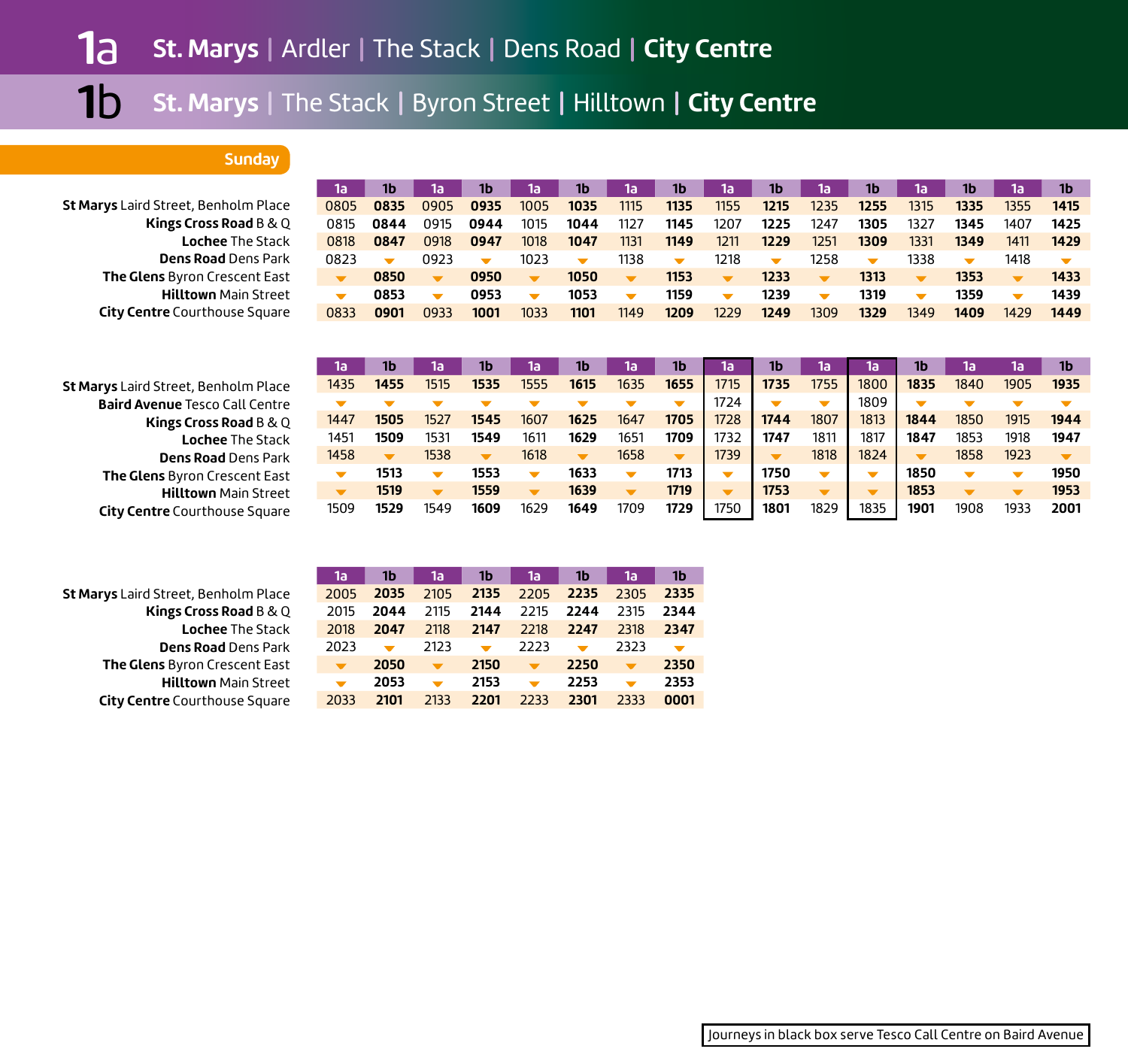# **Sunday**

|                                       | 1a                       | 1b                       | 1a                       | 1b   | 1a                       | 1b                       | 1a                       | 1b   | 1a                       | 1b                       | 1a                       | 1b                       | 1a                       | 1b                   | 1a   | 1b   |
|---------------------------------------|--------------------------|--------------------------|--------------------------|------|--------------------------|--------------------------|--------------------------|------|--------------------------|--------------------------|--------------------------|--------------------------|--------------------------|----------------------|------|------|
| St Marys Laird Street, Benholm Place  | 0805                     | 0835                     | 0905                     | 0935 | 1005                     | 1035                     | 1115                     | 1135 | 1155                     | 1215                     | 1235                     | 1255                     | 1315                     | 1335                 | 1355 | 1415 |
| Kings Cross Road B & Q                | 0815                     | 0844                     | 0915                     | 0944 | 1015                     | 1044                     | 1127                     | 1145 | 1207                     | 1225                     | 1247                     | 1305                     | 1327                     | 1345                 | 1407 | 1425 |
| <b>Lochee The Stack</b>               | 0818                     | 0847                     | 0918                     | 0947 | 1018                     | 1047                     | 1131                     | 1149 | 1211                     | 1229                     | 1251                     | 1309                     | 1331                     | 1349                 | 1411 | 1429 |
| <b>Dens Road</b> Dens Park            | 0823                     | $\overline{\phantom{0}}$ | 0923                     |      | 1023                     | $\overline{\phantom{0}}$ | 1138                     |      | 1218                     | $\overline{\phantom{0}}$ | 1258                     | $\overline{\phantom{0}}$ | 1338                     | $\blacktriangledown$ | 1418 |      |
| The Glens Byron Crescent East         | $\overline{\phantom{a}}$ | 0850                     |                          | 0950 | $\overline{\phantom{a}}$ | 1050                     | $\overline{\phantom{a}}$ | 1153 | $\overline{\phantom{a}}$ | 1233                     | $\blacksquare$           | 1313                     | $\overline{\phantom{a}}$ | 1353                 |      | 1433 |
| <b>Hilltown</b> Main Street           |                          | 0853                     | $\overline{\phantom{0}}$ | 0953 | $\overline{\phantom{0}}$ | 1053                     | $\overline{\phantom{0}}$ | 1159 | $\overline{\phantom{0}}$ | 1239                     | $\overline{\phantom{0}}$ | 1319                     | $\overline{\phantom{0}}$ | 1359                 |      | 1439 |
| <b>City Centre</b> Courthouse Square  | 0833                     | 0901                     | 0933                     | 1001 | 1033                     | 1101                     | 1149                     | 1209 | 1229                     | 1249                     | 1309                     | 1329                     | 1349                     | 1409                 | 1429 | 1449 |
|                                       |                          |                          |                          |      |                          |                          |                          |      |                          |                          |                          |                          |                          |                      |      |      |
|                                       |                          |                          |                          |      |                          |                          |                          |      |                          |                          |                          |                          |                          |                      |      |      |
|                                       | 1a                       | 1b                       | 1al                      | 1b.  | 1a'                      | 1 <sub>b</sub>           | (lai                     | 1b   | 1a                       | 1b                       | 1a                       | 1a                       | 1b                       | 1a                   | 1a   | 1b   |
| St Marys Laird Street, Benholm Place  | 1435                     | 1455                     | 1515                     | 1535 | 1555                     | 1615                     | 1635                     | 1655 | 1715                     | 1735                     | 1755                     | 1800                     | 1835                     | 1840                 | 1905 | 1935 |
| <b>Baird Avenue Tesco Call Centre</b> |                          |                          |                          |      |                          |                          |                          | ▼    | 1724                     |                          | $\overline{\phantom{a}}$ | 1809                     |                          |                      |      |      |

| <b>arys</b> Laird Street, Benholm Place | 1435 | 1455 | 1515 | 1535 | 1555 | 1615 | 1635 | 1655 | 1715 | 1735 | 1755 | 1800 | 1835          | 1840 | 1905 | 1935 |
|-----------------------------------------|------|------|------|------|------|------|------|------|------|------|------|------|---------------|------|------|------|
| <b>Baird Avenue Tesco Call Centre</b>   |      |      |      |      |      |      |      |      | 724  |      |      | 1809 |               |      |      |      |
| Kings Cross Road B & Q                  | 1447 | 1505 | 1527 | 1545 | 1607 | 1625 | 1647 | 1705 | 1728 | 1744 | 1807 | 1813 | 1844          | 1850 | 1915 | 1944 |
| <b>Lochee The Stack</b>                 | 1451 | 1509 | 1531 | 1549 | 161  | 1629 | 165  | 1709 | 1732 | 1747 | 1811 | 181. | 1847          | 1853 | 1918 | 1947 |
| <b>Dens Road Dens Park</b>              | 1458 |      | 1538 |      | 1618 |      | 1658 |      | 1739 |      | 1818 | 1824 |               | 1858 | 1923 |      |
| The Glens Byron Crescent East           |      | 1513 |      | 1553 |      | 1633 |      | 1713 |      | 1750 |      |      | 1850          |      |      | 1950 |
| <b>Hilltown Main Street</b>             |      | 1519 |      | 1559 |      | 1639 |      | 1719 |      | 1753 |      |      | 1853          |      |      | 1953 |
| <b>City Centre</b> Courthouse Square    | 1509 | 1529 | 1549 | 1609 | 1629 | 1649 | 1709 | 1729 | 1750 | 1801 | 1829 | 1835 | $190^{\circ}$ | 1908 | 1933 | 2001 |

| St Marys Laird Street, Benholm Place |  |
|--------------------------------------|--|
| Kings Cross Road B & Q               |  |
| <b>Lochee The Stack</b>              |  |
| <b>Dens Road</b> Dens Park           |  |
| The Glens Byron Crescent East        |  |
| <b>Hilltown Main Street</b>          |  |
| <b>City Centre</b> Courthouse Square |  |

| 1a   | 1b   | 1a   | 1b   | 1a   | 1b   | 1a   | 1b   |
|------|------|------|------|------|------|------|------|
| 2005 | 2035 | 2105 | 2135 | 2205 | 2235 | 2305 | 2335 |
| 2015 | 2044 | 2115 | 2144 | 2215 | 2244 | 2315 | 2344 |
| 2018 | 2047 | 2118 | 2147 | 2218 | 2247 | 2318 | 2347 |
| 2023 |      | 2123 |      | 2223 |      | 2323 |      |
|      | 2050 |      | 2150 |      | 2250 |      | 2350 |
|      | 2053 |      | 2153 |      | 2253 |      | 2353 |
| 2033 | 2101 | 2133 | 2201 | 2233 | 2301 | 2333 | 0001 |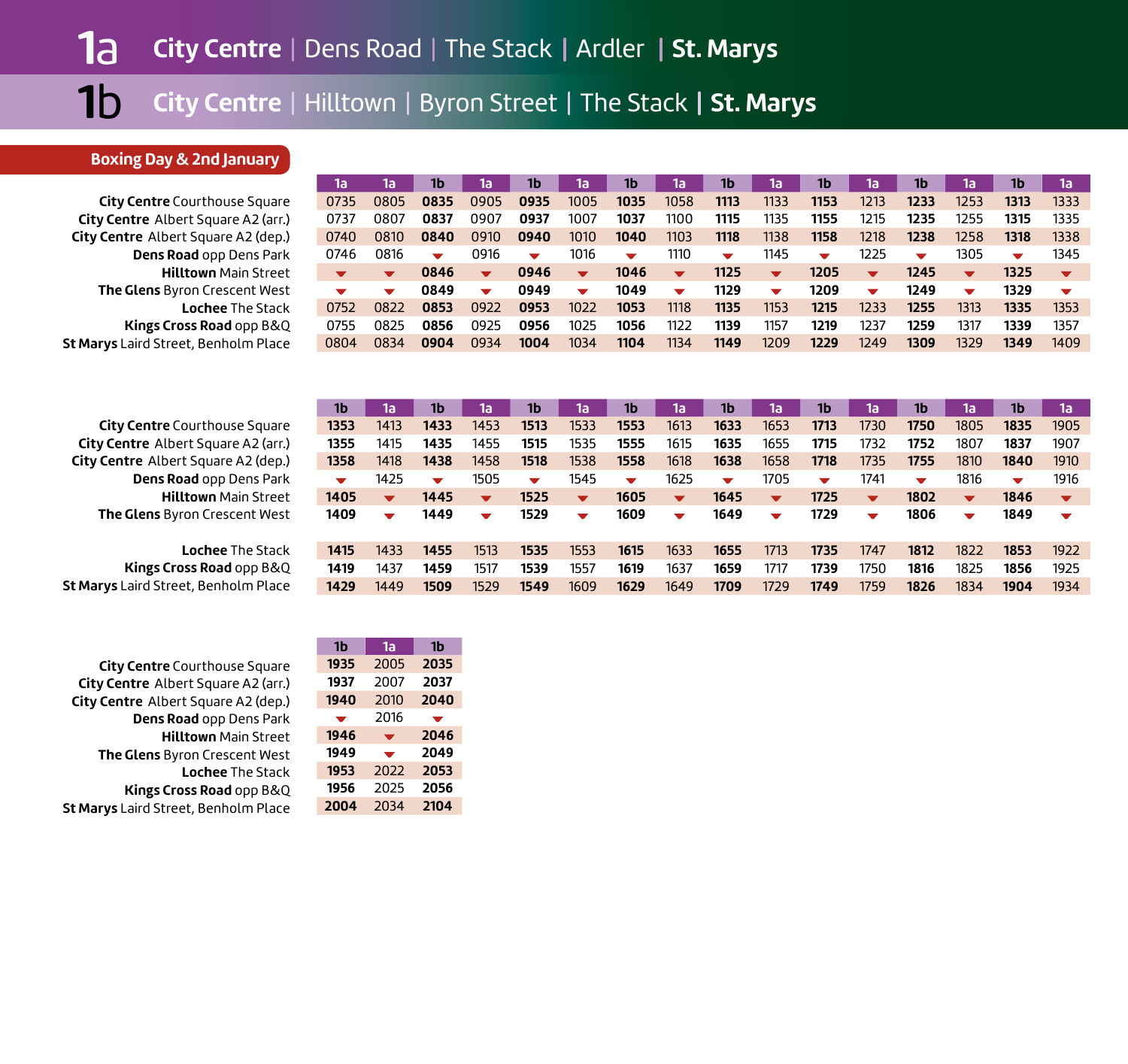## **Boxing Day & 2nd January**

**City Centre** Courthouse Square **City Centre** Albert Square A2 (arr.) **City Centre** Albert Square A2 (dep.) **Dens Road** opp Dens Park **Hilltown** Main Street**The Glens** Byron Crescent West **Lochee** The Stack **Kings Cross Road** opp B&Q **St Marys** Laird Street, Benholm Place

| 1a'  | 1a                       | 1b   | 1a                      | 1b   | 1a                      | 1b   | 1a                       | 1b   | 1a                       | 1b.                  | 1a                       | 1b                       | 1a             | 1b   | 1a                      |
|------|--------------------------|------|-------------------------|------|-------------------------|------|--------------------------|------|--------------------------|----------------------|--------------------------|--------------------------|----------------|------|-------------------------|
| 0735 | 0805                     | 0835 | 0905                    | 0935 | 1005                    | 1035 | 1058                     | 1113 | 1133                     | 1153                 | 1213                     | 1233                     | 1253           | 1313 | 1333                    |
| 0737 | 0807                     | 0837 | 0907                    | 0937 | 1007                    | 1037 | 1100                     | 1115 | 1135                     | 1155                 | 1215                     | 1235                     | 1255           | 1315 | 1335                    |
| 0740 | 0810                     | 0840 | 0910                    | 0940 | 1010                    | 1040 | 1103                     | 1118 | 1138                     | 1158                 | 1218                     | 1238                     | 1258           | 1318 | 1338                    |
| 0746 | 0816                     | ▼    | 0916                    | ▼    | 1016                    | ▼    | 1110                     | ▼    | 1145                     | $\blacktriangledown$ | 1225                     | $\overline{\phantom{a}}$ | 1305           | ▼    | 1345                    |
| ▼    | $\overline{\phantom{a}}$ | 0846 | $\overline{\mathbf{v}}$ | 0946 | $\overline{\mathbf{v}}$ | 1046 | $\blacktriangledown$     | 1125 | $\overline{\mathbf{v}}$  | 1205                 | $\overline{\phantom{a}}$ | 1245                     | $\blacksquare$ | 1325 | $\overline{\mathbf{v}}$ |
| ▼    | ▼                        | 0849 | $\blacktriangledown$    | 0949 | $\blacktriangledown$    | 1049 | $\overline{\phantom{a}}$ | 1129 | $\overline{\phantom{a}}$ | 1209                 | $\overline{\phantom{a}}$ | 1249                     | ▼              | 1329 | ▼                       |
| 0752 | 0822                     | 0853 | 0922                    | 0953 | 1022                    | 1053 | 1118                     | 1135 | 1153                     | 1215                 | 1233                     | 1255                     | 1313           | 1335 | 1353                    |
| 0755 | 0825                     | 0856 | 0925                    | 0956 | 1025                    | 1056 | 1122                     | 1139 | 1157                     | 1219                 | 1237                     | 1259                     | 1317           | 1339 | 1357                    |
| 0804 | 0834                     | 0904 | 0934                    | 1004 | 1034                    | 1104 | 1134                     | 1149 | 1209                     | 1229                 | 1249                     | 1309                     | 1329           | 1349 | 1409                    |

| <b>City Centre</b> Courthouse Square |
|--------------------------------------|
| City Centre Albert Square A2 (arr.)  |
| City Centre Albert Square A2 (dep.)  |
| Dens Road opp Dens Park              |
| <b>Hilltown Main Street</b>          |
| The Glens Byron Crescent West        |

**Lochee** The Stack**Kings Cross Road** opp B&Q **St Marys** Laird Street, Benholm Place

| <b>City Centre</b> Courthouse Square |
|--------------------------------------|
| City Centre Albert Square A2 (arr.)  |
| City Centre Albert Square A2 (dep.)  |
| Dens Road opp Dens Park              |
| <b>Hilltown Main Street</b>          |
| The Glens Byron Crescent West        |
| <b>Lochee The Stack</b>              |
| Kings Cross Road opp B&Q             |
| St Marys Laird Street, Benholm Place |

| 1b                   | កេ                      | 1b                   | 1a                       | 1b                   | 1a                       | 1b                   | 1a'                      | 1b                       | í1a                      | 1b.  | 1a'                     | 1b                       | 1a'                      | 1b                       | 1a                       |
|----------------------|-------------------------|----------------------|--------------------------|----------------------|--------------------------|----------------------|--------------------------|--------------------------|--------------------------|------|-------------------------|--------------------------|--------------------------|--------------------------|--------------------------|
| 1353                 | 1413                    | 1433                 | 1453                     | 1513                 | 1533                     | 1553                 | 1613                     | 1633                     | 1653                     | 1713 | 1730                    | 1750                     | 1805                     | 1835                     | 1905                     |
| 1355                 | 1415                    | 1435                 | 1455                     | 1515                 | 1535                     | 1555                 | 1615                     | 1635                     | 1655                     | 1715 | 1732                    | 1752                     | 1807                     | 1837                     | 1907                     |
| 1358                 | 1418                    | 1438                 | 1458                     | 1518                 | 1538                     | 1558                 | 1618                     | 1638                     | 1658                     | 1718 | 1735                    | 1755                     | 1810                     | 1840                     | 1910                     |
| $\blacktriangledown$ | 1425                    | $\blacktriangledown$ | 1505                     | $\blacktriangledown$ | 1545                     | $\blacktriangledown$ | 1625                     | $\overline{\phantom{a}}$ | 1705                     | ▼    | 1741                    | $\overline{\phantom{a}}$ | 1816                     | $\overline{\phantom{a}}$ | 1916                     |
| 1405                 | $\overline{\mathbf{v}}$ | 1445                 | $\overline{\mathbf{v}}$  | 1525                 | $\overline{\mathbf{v}}$  | 1605                 | $\overline{\mathbf{v}}$  | 1645                     | $\overline{\mathbf{v}}$  | 1725 | $\overline{\mathbf{v}}$ | 1802                     | $\overline{\phantom{a}}$ | 1846                     | $\overline{\phantom{a}}$ |
|                      |                         |                      |                          |                      |                          |                      |                          |                          |                          |      |                         |                          |                          |                          |                          |
| 1409                 | ▼                       | 1449                 | $\overline{\phantom{a}}$ | 1529                 | $\overline{\phantom{a}}$ | 1609                 | $\overline{\phantom{a}}$ | 1649                     | $\overline{\phantom{a}}$ | 1729 | ▼                       | 1806                     | ▼                        | 1849                     | $\overline{\phantom{a}}$ |
|                      |                         |                      |                          |                      |                          |                      |                          |                          |                          |      |                         |                          |                          |                          |                          |
| 1415                 | 1433                    | 1455                 | 1513                     | 1535                 | 1553                     | 1615                 | 1633                     | 1655                     | 1713                     | 1735 | 1747                    | 1812                     | 1822                     | 1853                     | 1922                     |
| 1419                 | 1437                    | 1459                 | 1517                     | 1539                 | 1557                     | 1619                 | 1637                     | 1659                     | 1717                     | 1739 | 1750                    | 1816                     | 1825                     | 1856                     | 1925                     |

| 1b   | 1a                       | 1b   |
|------|--------------------------|------|
| 1935 | 2005                     | 2035 |
| 1937 | 2007                     | 2037 |
| 1940 | 2010                     | 2040 |
| ╾    | 2016                     |      |
| 1946 | ▼                        | 2046 |
| 1949 |                          |      |
|      | $\overline{\phantom{a}}$ | 2049 |
| 1953 | 2022                     | 2053 |
| 1956 | 2025                     | 2056 |
| 2004 | 2034                     | 2104 |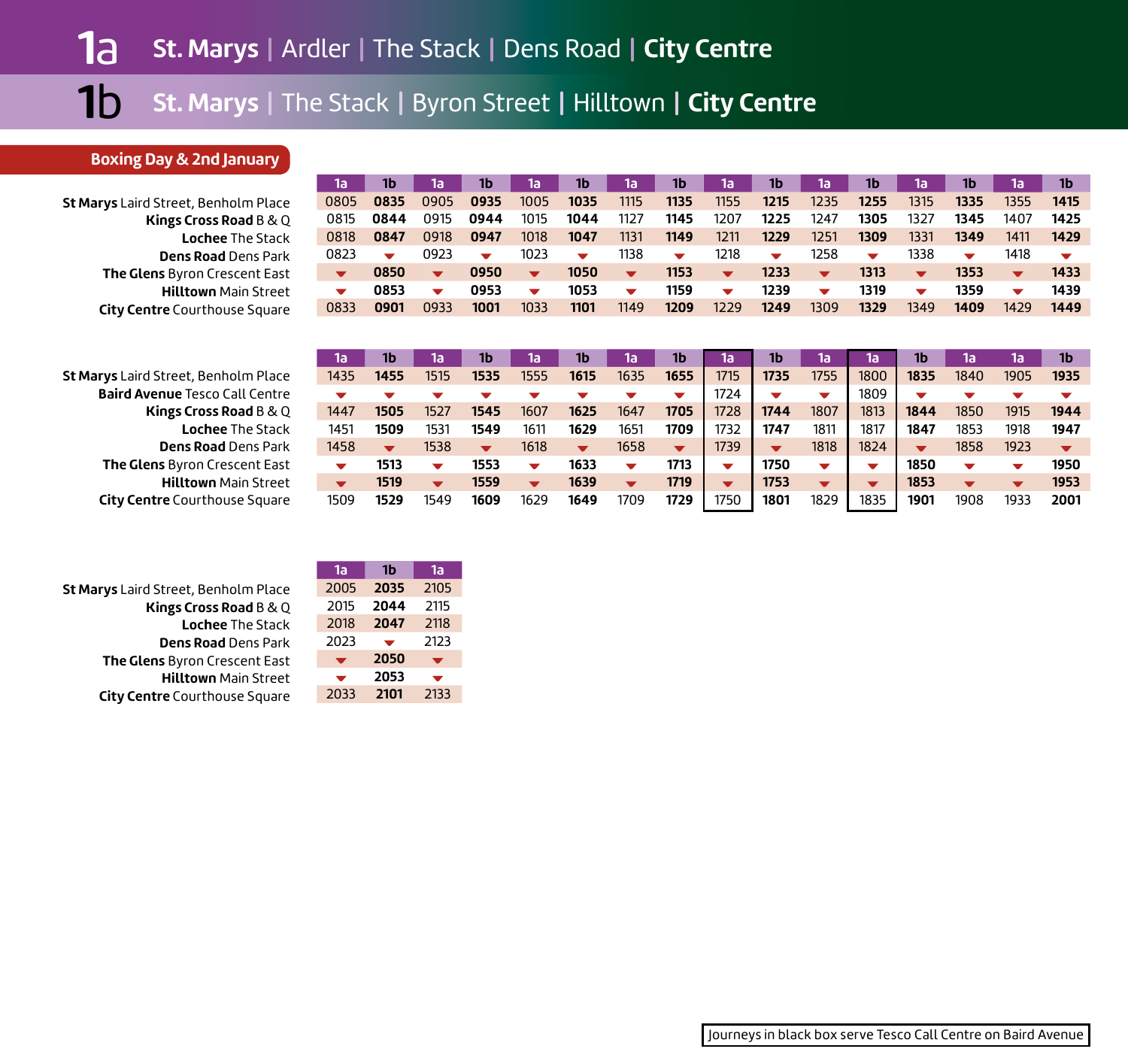**1a**

## **Boxing Day & 2nd January**

|      | 1b                       | 1a                       | 1b                       | 1a   | 1b                       | 1a                      | 1b             | la   | 1b   | 1a                       | 1b                       | 1a   | 1Ь.  |
|------|--------------------------|--------------------------|--------------------------|------|--------------------------|-------------------------|----------------|------|------|--------------------------|--------------------------|------|------|
| 0905 | 0935                     | 1005                     | 1035                     | 1115 | 1135                     | 1155                    | 1215           | 1235 | 1255 | 1315                     | 1335                     | 1355 | 1415 |
| 0915 | 0944                     | 1015                     | 1044                     | 1127 | 1145                     | 1207                    | 1225           | 1247 | 1305 | 1327                     | 1345                     | 1407 | 1425 |
| 0918 | 0947                     | 1018                     | 1047                     | 1131 | 1149                     | 1211                    | 1229           | 1251 | 1309 | 1331                     | 1349                     | 1411 | 1429 |
| 0923 | $\overline{\phantom{a}}$ | 1023                     | $\overline{\phantom{a}}$ | 1138 | $\overline{\phantom{a}}$ | 1218                    | $\blacksquare$ | 258  |      | 1338                     | $\overline{\phantom{a}}$ | 1418 |      |
|      | 0950                     | $\overline{\phantom{a}}$ | 1050                     |      | 1153                     | $\overline{\mathbf{v}}$ | 1233           |      | 1313 | $\overline{\phantom{a}}$ | 1353                     |      | 1433 |
|      | 0953                     | $\blacksquare$           | 1053                     |      | 1159                     | ▼                       | 1239           |      | 1319 |                          | 1359                     |      | 1439 |
| 0933 | 1001                     | 1033                     | 1101                     | 1149 | 1209                     | 1229                    | 1249           | 1309 | 1329 | 1349                     | 1409                     | 1429 | 1449 |
|      |                          |                          |                          |      |                          |                         |                |      |      |                          |                          |      |      |
|      | 1a                       |                          |                          |      |                          |                         |                |      |      |                          |                          |      |      |

| 1a   | 16   | 1a   | 1b                       | 1a   | 1b   | 1a   | 1b   | 1a                      | 1b   | 1а   | la   | 1b                   | la   | la   | 1b   |
|------|------|------|--------------------------|------|------|------|------|-------------------------|------|------|------|----------------------|------|------|------|
| 1435 | 1455 | 1515 | 1535                     | 1555 | 1615 | 1635 | 1655 | 1715                    | 1735 | 1755 | 1800 | 1835                 | 1840 | 1905 | 1935 |
|      |      |      |                          |      |      |      |      | 1724                    |      |      | 1809 |                      |      |      |      |
| 1447 | 1505 | 1527 | 1545                     | 1607 | 1625 | 1647 | 1705 | 1728                    | 1744 | 1807 | 1813 | 1844                 | 1850 | 1915 | 1944 |
| 1451 | 1509 | 1531 | 1549                     | 1611 | 1629 | 1651 | 1709 | 1732                    | 1747 | 181  | 1817 | 1847                 | 1853 | 1918 | 1947 |
| 1458 |      | 1538 | $\overline{\phantom{a}}$ | 1618 |      | 1658 |      | 1739                    |      | 1818 | 1824 | $\blacktriangledown$ | 1858 | 1923 |      |
|      | 1513 |      | 1553                     |      | 1633 |      | 1713 | ▼                       | 1750 |      |      | 1850                 |      |      | 1950 |
|      | 1519 |      | 1559                     |      | 1639 |      | 1719 | $\overline{\mathbf{v}}$ | 1753 |      |      | 1853                 |      |      | 1953 |
| 1509 | 1529 | 1549 | 1609                     | 1629 | 1649 | 1709 | 1729 | 1750                    | 1801 | 1829 | 1835 | 1901                 | 1908 | 1933 | 2001 |
|      |      |      |                          |      |      |      |      |                         |      |      |      |                      |      |      |      |

|                                      | 1a   | 1b   | 1a                       |
|--------------------------------------|------|------|--------------------------|
| St Marys Laird Street, Benholm Place | 2005 | 2035 | 2105                     |
| Kings Cross Road B & Q               | 2015 | 2044 | 2115                     |
| <b>Lochee The Stack</b>              | 2018 | 2047 | 2118                     |
| <b>Dens Road Dens Park</b>           | 2023 |      | 2123                     |
| The Glens Byron Crescent East        |      | 2050 | $\overline{\phantom{a}}$ |
| <b>Hilltown Main Street</b>          |      | 2053 | $\overline{\phantom{a}}$ |
| <b>City Centre Courthouse Square</b> | 2033 | 2101 | 2133                     |
|                                      |      |      |                          |